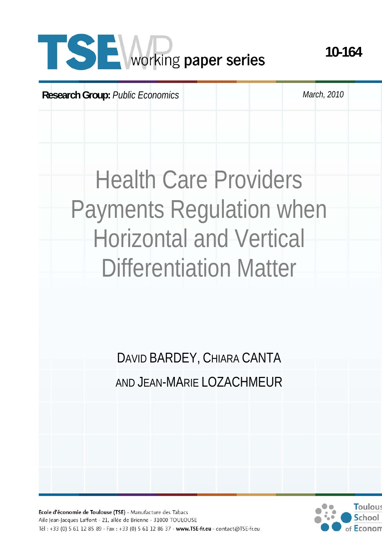# **SE** working paper series

**Research Group:** *Public Economics March, 2010* 

**10-164** 

# Health Care Providers Payments Regulation when Horizontal and Vertical Differentiation Matter

DAVID BARDEY, CHIARA CANTA AND JEAN-MARIE LOZACHMEUR



Ecole d'économie de Toulouse (TSE) - Manufacture des Tabacs Aile Jean-Jacques Laffont - 21, allée de Brienne - 31000 TOULOUSE Tél: +33 (0) 5 61 12 85 89 - Fax: +33 (0) 5 61 12 86 37 - www.TSE-fr.eu - contact@TSE-fr.eu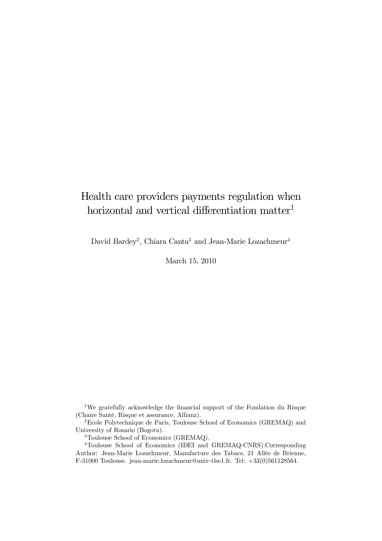# Health care providers payments regulation when horizontal and vertical differentiation matter<sup>1</sup>

David Bardey<sup>2</sup>, Chiara Canta<sup>3</sup> and Jean-Marie Lozachmeur<sup>4</sup>

March 15, 2010

1We gratefully acknowledge the financial support of the Fondation du Risque (Chaire Santé, Risque et assurance, Allianz).

2Ecole Polytechnique de Paris, Toulouse School of Economics (GREMAQ) and University of Rosario (Bogota).

3Toulouse School of Economics (GREMAQ).

4Toulouse School of Economics (IDEI and GREMAQ-CNRS).Corresponding Author: Jean-Marie Lozachmeur, Manufacture des Tabacs, 21 Allée de Brienne, F-31000 Toulouse. jean-marie.lozachmeur@univ-tlse1.fr. Tel: +33(0)561128564.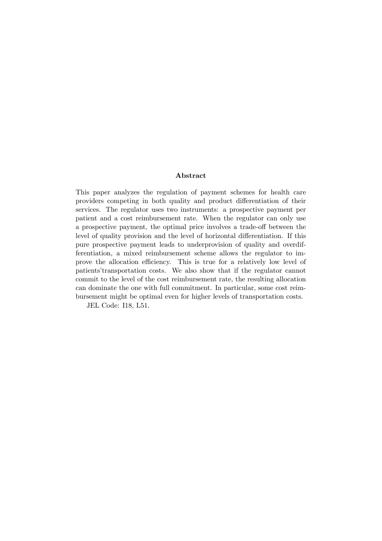#### Abstract

This paper analyzes the regulation of payment schemes for health care providers competing in both quality and product differentiation of their services. The regulator uses two instruments: a prospective payment per patient and a cost reimbursement rate. When the regulator can only use a prospective payment, the optimal price involves a trade-off between the level of quality provision and the level of horizontal differentiation. If this pure prospective payment leads to underprovision of quality and overdifferentiation, a mixed reimbursement scheme allows the regulator to improve the allocation efficiency. This is true for a relatively low level of patients'transportation costs. We also show that if the regulator cannot commit to the level of the cost reimbursement rate, the resulting allocation can dominate the one with full commitment. In particular, some cost reimbursement might be optimal even for higher levels of transportation costs.

JEL Code: I18, L51.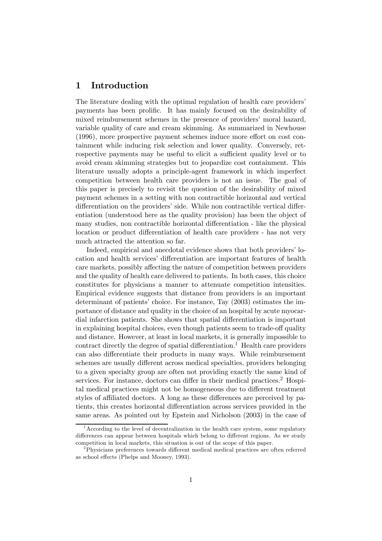# 1 Introduction

The literature dealing with the optimal regulation of health care providers' payments has been prolific. It has mainly focused on the desirability of mixed reimbursement schemes in the presence of providers' moral hazard, variable quality of care and cream skimming. As summarized in Newhouse (1996), more prospective payment schemes induce more effort on cost containment while inducing risk selection and lower quality. Conversely, retrospective payments may be useful to elicit a sufficient quality level or to avoid cream skimming strategies but to jeopardize cost containment. This literature usually adopts a principle-agent framework in which imperfect competition between health care providers is not an issue. The goal of this paper is precisely to revisit the question of the desirability of mixed payment schemes in a setting with non contractible horizontal and vertical differentiation on the providers' side. While non contractible vertical differentiation (understood here as the quality provision) has been the object of many studies, non contractible horizontal differentiation - like the physical location or product differentiation of health care providers - has not very much attracted the attention so far.

Indeed, empirical and anecdotal evidence shows that both providers' location and health services' differentiation are important features of health care markets, possibly affecting the nature of competition between providers and the quality of health care delivered to patients. In both cases, this choice constitutes for physicians a manner to attenuate competition intensities. Empirical evidence suggests that distance from providers is an important determinant of patients' choice. For instance, Tay (2003) estimates the importance of distance and quality in the choice of an hospital by acute myocardial infarction patients. She shows that spatial differentiation is important in explaining hospital choices, even though patients seem to trade-off quality and distance. However, at least in local markets, it is generally impossible to contract directly the degree of spatial differentiation.<sup>1</sup> Health care providers can also differentiate their products in many ways. While reimbursement schemes are usually different across medical specialties, providers belonging to a given specialty group are often not providing exactly the same kind of services. For instance, doctors can differ in their medical practices.<sup>2</sup> Hospital medical practices might not be homogeneous due to different treatment styles of affiliated doctors. A long as these differences are perceived by patients, this creates horizontal differentiation across services provided in the same areas. As pointed out by Epstein and Nicholson (2003) in the case of

<sup>1</sup>According to the level of decentralization in the health care system, some regulatory differences can appear between hospitals which belong to different regions. As we study competition in local markets, this situation is out of the scope of this paper.

<sup>2</sup>Physicians preferences towards different medical medical practices are often referred as school effects (Phelps and Mooney, 1993).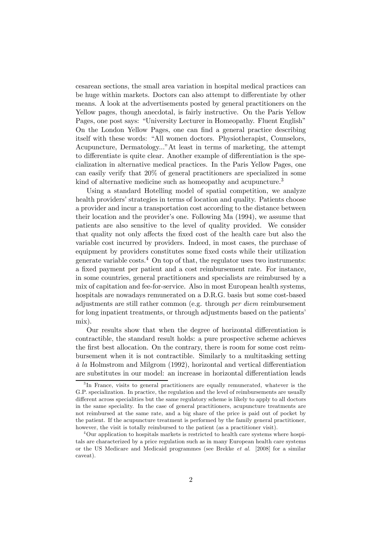cesarean sections, the small area variation in hospital medical practices can be huge within markets. Doctors can also attempt to differentiate by other means. A look at the advertisements posted by general practitioners on the Yellow pages, though anecdotal, is fairly instructive. On the Paris Yellow Pages, one post says: "University Lecturer in Homeopathy. Fluent English" On the London Yellow Pages, one can find a general practice describing itself with these words: "All women doctors. Physiotherapist, Counselors, Acupuncture, Dermatology..."At least in terms of marketing, the attempt to differentiate is quite clear. Another example of differentiation is the specialization in alternative medical practices. In the Paris Yellow Pages, one can easily verify that 20% of general practitioners are specialized in some kind of alternative medicine such as homeopathy and acupuncture.<sup>3</sup>

Using a standard Hotelling model of spatial competition, we analyze health providers' strategies in terms of location and quality. Patients choose a provider and incur a transportation cost according to the distance between their location and the provider's one. Following Ma (1994), we assume that patients are also sensitive to the level of quality provided. We consider that quality not only affects the fixed cost of the health care but also the variable cost incurred by providers. Indeed, in most cases, the purchase of equipment by providers constitutes some fixed costs while their utilization generate variable costs. $4$  On top of that, the regulator uses two instruments: a fixed payment per patient and a cost reimbursement rate. For instance, in some countries, general practitioners and specialists are reimbursed by a mix of capitation and fee-for-service. Also in most European health systems, hospitals are nowadays remunerated on a D.R.G. basis but some cost-based adjustments are still rather common (e.g. through per diem reimbursement for long inpatient treatments, or through adjustments based on the patients' mix).

Our results show that when the degree of horizontal differentiation is contractible, the standard result holds: a pure prospective scheme achieves the first best allocation. On the contrary, there is room for some cost reimbursement when it is not contractible. Similarly to a multitasking setting à la Holmstrom and Milgrom (1992), horizontal and vertical differentiation are substitutes in our model: an increase in horizontal differentiation leads

<sup>&</sup>lt;sup>3</sup>In France, visits to general practitioners are equally remunerated, whatever is the G.P. specialization. In practice, the regulation and the level of reimbursements are usually different across specialities but the same regulatory scheme is likely to apply to all doctors in the same speciality. In the case of general practitioners, acupuncture treatments are not reimbursed at the same rate, and a big share of the price is paid out of pocket by the patient. If the acupuncture treatment is performed by the family general practitioner, however, the visit is totally reimbursed to the patient (as a practitioner visit).

<sup>&</sup>lt;sup>4</sup>Our application to hospitals markets is restricted to health care systems where hospitals are characterized by a price regulation such as in many European health care systems or the US Medicare and Medicaid programmes (see Brekke et al. [2008] for a similar caveat).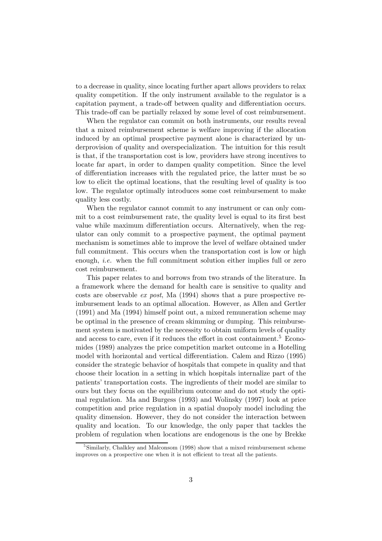to a decrease in quality, since locating further apart allows providers to relax quality competition. If the only instrument available to the regulator is a capitation payment, a trade-off between quality and differentiation occurs. This trade-off can be partially relaxed by some level of cost reimbursement.

When the regulator can commit on both instruments, our results reveal that a mixed reimbursement scheme is welfare improving if the allocation induced by an optimal prospective payment alone is characterized by underprovision of quality and overspecialization. The intuition for this result is that, if the transportation cost is low, providers have strong incentives to locate far apart, in order to dampen quality competition. Since the level of differentiation increases with the regulated price, the latter must be so low to elicit the optimal locations, that the resulting level of quality is too low. The regulator optimally introduces some cost reimbursement to make quality less costly.

When the regulator cannot commit to any instrument or can only commit to a cost reimbursement rate, the quality level is equal to its first best value while maximum differentiation occurs. Alternatively, when the regulator can only commit to a prospective payment, the optimal payment mechanism is sometimes able to improve the level of welfare obtained under full commitment. This occurs when the transportation cost is low or high enough, *i.e.* when the full commitment solution either implies full or zero cost reimbursement.

This paper relates to and borrows from two strands of the literature. In a framework where the demand for health care is sensitive to quality and costs are observable *ex post*, Ma  $(1994)$  shows that a pure prospective reimbursement leads to an optimal allocation. However, as Allen and Gertler (1991) and Ma (1994) himself point out, a mixed remuneration scheme may be optimal in the presence of cream skimming or dumping. This reimbursement system is motivated by the necessity to obtain uniform levels of quality and access to care, even if it reduces the effort in cost containment.<sup>5</sup> Economides (1989) analyzes the price competition market outcome in a Hotelling model with horizontal and vertical differentiation. Calem and Rizzo (1995) consider the strategic behavior of hospitals that compete in quality and that choose their location in a setting in which hospitals internalize part of the patients' transportation costs. The ingredients of their model are similar to ours but they focus on the equilibrium outcome and do not study the optimal regulation. Ma and Burgess (1993) and Wolinsky (1997) look at price competition and price regulation in a spatial duopoly model including the quality dimension. However, they do not consider the interaction between quality and location. To our knowledge, the only paper that tackles the problem of regulation when locations are endogenous is the one by Brekke

 $5$ Similarly, Chalkley and Malconsom (1998) show that a mixed reimbursement scheme improves on a prospective one when it is not efficient to treat all the patients.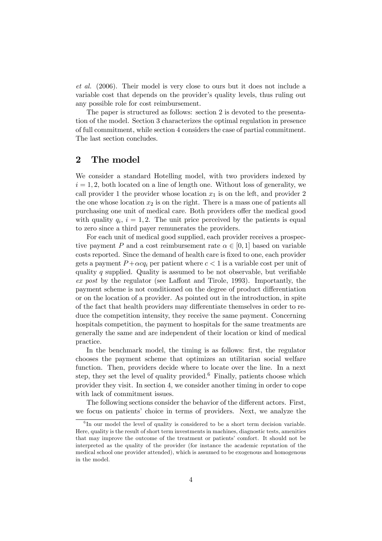et al. (2006). Their model is very close to ours but it does not include a variable cost that depends on the provider's quality levels, thus ruling out any possible role for cost reimbursement.

The paper is structured as follows: section 2 is devoted to the presentation of the model. Section 3 characterizes the optimal regulation in presence of full commitment, while section 4 considers the case of partial commitment. The last section concludes.

# 2 The model

We consider a standard Hotelling model, with two providers indexed by  $i = 1, 2$ , both located on a line of length one. Without loss of generality, we call provider 1 the provider whose location  $x_1$  is on the left, and provider 2 the one whose location  $x_2$  is on the right. There is a mass one of patients all purchasing one unit of medical care. Both providers offer the medical good with quality  $q_i$ ,  $i = 1, 2$ . The unit price perceived by the patients is equal to zero since a third payer remunerates the providers.

For each unit of medical good supplied, each provider receives a prospective payment P and a cost reimbursement rate  $\alpha \in [0,1]$  based on variable costs reported. Since the demand of health care is fixed to one, each provider gets a payment  $P + \alpha c q_i$  per patient where  $c < 1$  is a variable cost per unit of quality q supplied. Quality is assumed to be not observable, but verifiable ex post by the regulator (see Laffont and Tirole, 1993). Importantly, the payment scheme is not conditioned on the degree of product differentiation or on the location of a provider. As pointed out in the introduction, in spite of the fact that health providers may differentiate themselves in order to reduce the competition intensity, they receive the same payment. Concerning hospitals competition, the payment to hospitals for the same treatments are generally the same and are independent of their location or kind of medical practice.

In the benchmark model, the timing is as follows: first, the regulator chooses the payment scheme that optimizes an utilitarian social welfare function. Then, providers decide where to locate over the line. In a next step, they set the level of quality provided.<sup>6</sup> Finally, patients choose which provider they visit. In section 4, we consider another timing in order to cope with lack of commitment issues.

The following sections consider the behavior of the different actors. First, we focus on patients' choice in terms of providers. Next, we analyze the

 ${}^{6}$ In our model the level of quality is considered to be a short term decision variable. Here, quality is the result of short term investments in machines, diagnostic tests, amenities that may improve the outcome of the treatment or patients' comfort. It should not be interpreted as the quality of the provider (for instance the academic reputation of the medical school one provider attended), which is assumed to be exogenous and homogenous in the model.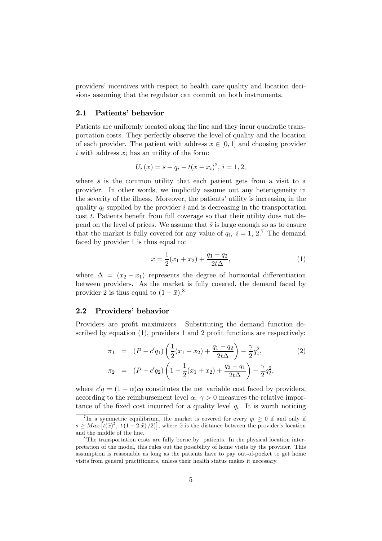providers' incentives with respect to health care quality and location decisions assuming that the regulator can commit on both instruments.

#### 2.1 Patients' behavior

Patients are uniformly located along the line and they incur quadratic transportation costs. They perfectly observe the level of quality and the location of each provider. The patient with address  $x \in [0, 1]$  and choosing provider i with address  $x_i$  has an utility of the form:

$$
U_i(x) = \bar{s} + q_i - t(x - x_i)^2, \, i = 1, 2,
$$

where  $\bar{s}$  is the common utility that each patient gets from a visit to a provider. In other words, we implicitly assume out any heterogeneity in the severity of the illness. Moreover, the patients' utility is increasing in the quality  $q_i$  supplied by the provider i and is decreasing in the transportation cost t. Patients benefit from full coverage so that their utility does not depend on the level of prices. We assume that  $\bar{s}$  is large enough so as to ensure that the market is fully covered for any value of  $q_i$ ,  $i = 1, 2$ .<sup>7</sup> The demand faced by provider 1 is thus equal to:

$$
\bar{x} = \frac{1}{2}(x_1 + x_2) + \frac{q_1 - q_2}{2t\Delta},\tag{1}
$$

where  $\Delta = (x_2 - x_1)$  represents the degree of horizontal differentiation between providers. As the market is fully covered, the demand faced by provider 2 is thus equal to  $(1 - \bar{x})$ .<sup>8</sup>

#### 2.2 Providers' behavior

Providers are profit maximizers. Substituting the demand function described by equation (1), providers 1 and 2 profit functions are respectively:

$$
\pi_1 = (P - c'q_1) \left( \frac{1}{2} (x_1 + x_2) + \frac{q_1 - q_2}{2t\Delta} \right) - \frac{\gamma}{2} q_1^2,
$$
\n
$$
\pi_2 = (P - c'q_2) \left( 1 - \frac{1}{2} (x_1 + x_2) + \frac{q_2 - q_1}{2t\Delta} \right) - \frac{\gamma}{2} q_2^2,
$$
\n(2)

where  $c'q = (1 - \alpha)cq$  constitutes the net variable cost faced by providers, according to the reimbursement level  $\alpha$ .  $\gamma > 0$  measures the relative importance of the fixed cost incurred for a quality level  $q_i$ . It is worth noticing

<sup>&</sup>lt;sup>7</sup>In a symmetric equilibrium, the market is covered for every  $q_i \geq 0$  if and only if  $\bar{s} \geq Max \left[ t(\tilde{x})^2, t(1-2\tilde{x})/2 \right],$  where  $\tilde{x}$  is the distance between the provider's location and the middle of the line.

<sup>&</sup>lt;sup>8</sup>The transportation costs are fully borne by patients. In the physical location interpretation of the model, this rules out the possibility of home visits by the provider. This assumption is reasonable as long as the patients have to pay out-of-pocket to get home visits from general practitioners, unless their health status makes it necessary.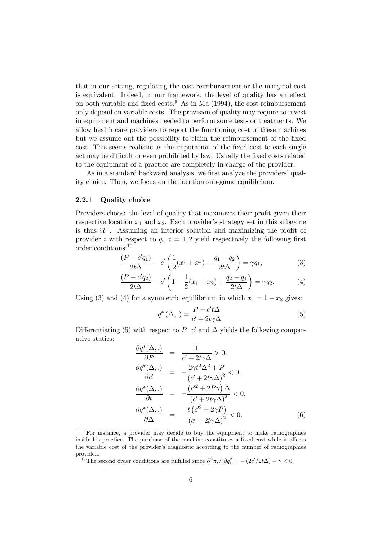that in our setting, regulating the cost reimbursement or the marginal cost is equivalent. Indeed, in our framework, the level of quality has an effect on both variable and fixed costs.<sup>9</sup> As in Ma  $(1994)$ , the cost reimbursement only depend on variable costs. The provision of quality may require to invest in equipment and machines needed to perform some tests or treatments. We allow health care providers to report the functioning cost of these machines but we assume out the possibility to claim the reimbursement of the fixed cost. This seems realistic as the imputation of the fixed cost to each single act may be difficult or even prohibited by law. Usually the fixed costs related to the equipment of a practice are completely in charge of the provider.

As in a standard backward analysis, we first analyze the providers' quality choice. Then, we focus on the location sub-game equilibrium.

#### 2.2.1 Quality choice

Providers choose the level of quality that maximizes their profit given their respective location  $x_1$  and  $x_2$ . Each provider's strategy set in this subgame is thus  $\mathbb{R}^+$ . Assuming an interior solution and maximizing the profit of provider i with respect to  $q_i$ ,  $i = 1, 2$  yield respectively the following first order conditions:<sup>10</sup>

$$
\frac{(P - c'q_1)}{2t\Delta} - c' \left(\frac{1}{2}(x_1 + x_2) + \frac{q_1 - q_2}{2t\Delta}\right) = \gamma q_1,\tag{3}
$$

$$
\frac{(P - c'q_2)}{2t\Delta} - c'\left(1 - \frac{1}{2}(x_1 + x_2) + \frac{q_2 - q_1}{2t\Delta}\right) = \gamma q_2.
$$
 (4)

Using (3) and (4) for a symmetric equilibrium in which  $x_1 = 1 - x_2$  gives:

$$
q^*(\Delta,.) = \frac{P - c't\Delta}{c' + 2t\gamma\Delta}.
$$
 (5)

Differentiating (5) with respect to P,  $c'$  and  $\Delta$  yields the following comparative statics:

$$
\frac{\partial q^*(\Delta,.)}{\partial P} = \frac{1}{c' + 2t\gamma\Delta} > 0,
$$
  
\n
$$
\frac{\partial q^*(\Delta,.)}{\partial c'} = -\frac{2\gamma t^2 \Delta^2 + P}{(c' + 2t\gamma\Delta)^2} < 0,
$$
  
\n
$$
\frac{\partial q^*(\Delta,.)}{\partial t} = -\frac{(c'^2 + 2P\gamma)\Delta}{(c' + 2t\gamma\Delta)^2} < 0,
$$
  
\n
$$
\frac{\partial q^*(\Delta,.)}{\partial \Delta} = -\frac{t(c'^2 + 2\gamma P)}{(c' + 2t\gamma\Delta)^2} < 0.
$$
 (6)

<sup>10</sup>The second order conditions are fulfilled since  $\partial^2 \pi_i / \partial q_i^2 = -(2c'/2t\Delta) - \gamma < 0$ .

 $9^9$ For instance, a provider may decide to buy the equipment to make radiographies inside his practice. The purchase of the machine constitutes a fixed cost while it affects the variable cost of the provider's diagnostic according to the number of radiographies provided.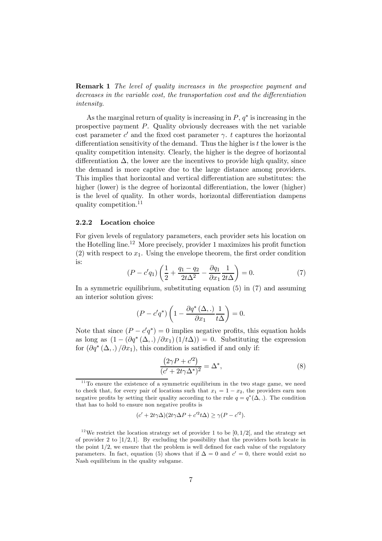**Remark 1** The level of quality increases in the prospective payment and decreases in the variable cost, the transportation cost and the differentiation intensity.

As the marginal return of quality is increasing in  $P, q^*$  is increasing in the prospective payment P. Quality obviously decreases with the net variable cost parameter  $c'$  and the fixed cost parameter  $\gamma$ . t captures the horizontal differentiation sensitivity of the demand. Thus the higher is  $t$  the lower is the quality competition intensity. Clearly, the higher is the degree of horizontal differentiation  $\Delta$ , the lower are the incentives to provide high quality, since the demand is more captive due to the large distance among providers. This implies that horizontal and vertical differentiation are substitutes: the higher (lower) is the degree of horizontal differentiation, the lower (higher) is the level of quality. In other words, horizontal differentiation dampens quality competition.<sup>11</sup>

#### 2.2.2 Location choice

For given levels of regulatory parameters, each provider sets his location on the Hotelling line.12 More precisely, provider 1 maximizes his profit function (2) with respect to  $x_1$ . Using the envelope theorem, the first order condition is:

$$
(P - c'q_1) \left(\frac{1}{2} + \frac{q_1 - q_2}{2t\Delta^2} - \frac{\partial q_1}{\partial x_1} \frac{1}{2t\Delta}\right) = 0.
$$
 (7)

In a symmetric equilibrium, substituting equation (5) in (7) and assuming an interior solution gives:

$$
(P - c'q^*)\left(1 - \frac{\partial q^* (\Delta, .)}{\partial x_1} \frac{1}{t\Delta}\right) = 0.
$$

Note that since  $(P - c'q^*) = 0$  implies negative profits, this equation holds as long as  $(1 - (\partial q^*(\Delta, .)/\partial x_1)(1/t\Delta)) = 0$ . Substituting the expression for  $(\partial q^*(\Delta,.)/\partial x_1)$ , this condition is satisfied if and only if:

$$
\frac{\left(2\gamma P + c'^2\right)}{\left(c' + 2t\gamma\Delta^*\right)^2} = \Delta^*,\tag{8}
$$

$$
(c' + 2t\gamma \Delta)(2t\gamma \Delta P + c'^2 t\Delta) \ge \gamma (P - c'^2).
$$

 $11$ <sup>To</sup> ensure the existence of a symmetric equilibrium in the two stage game, we need to check that, for every pair of locations such that  $x_1 = 1 - x_2$ , the providers earn non negative profits by setting their quality according to the rule  $q = q^*(\Delta, \cdot)$ . The condition that has to hold to ensure non negative profits is

<sup>&</sup>lt;sup>12</sup>We restrict the location strategy set of provider 1 to be [0, 1/2], and the strategy set of provider 2 to  $(1/2, 1]$ . By excluding the possibility that the providers both locate in the point 1/2, we ensure that the problem is well defined for each value of the regulatory parameters. In fact, equation (5) shows that if  $\Delta = 0$  and  $c' = 0$ , there would exist no Nash equilibrium in the quality subgame.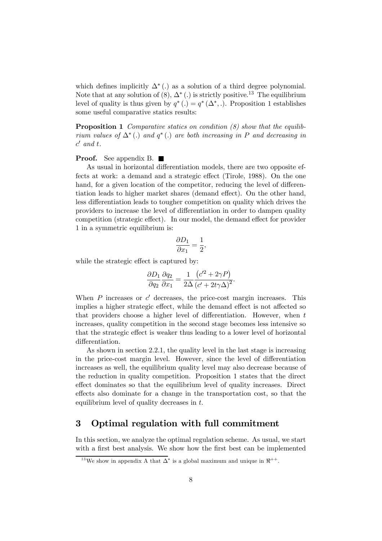which defines implicitly  $\Delta^*$  (.) as a solution of a third degree polynomial. Note that at any solution of (8),  $\Delta^*$  (.) is strictly positive.<sup>13</sup> The equilibrium level of quality is thus given by  $q^*$  (.) =  $q^*$  ( $\Delta^*$ , .). Proposition 1 establishes some useful comparative statics results:

**Proposition 1** Comparative statics on condition  $(8)$  show that the equilibrium values of  $\Delta^*$  (.) and  $q^*$  (.) are both increasing in P and decreasing in  $c'$  and t.

#### **Proof.** See appendix B.  $\blacksquare$

As usual in horizontal differentiation models, there are two opposite effects at work: a demand and a strategic effect (Tirole, 1988). On the one hand, for a given location of the competitor, reducing the level of differentiation leads to higher market shares (demand effect). On the other hand, less differentiation leads to tougher competition on quality which drives the providers to increase the level of differentiation in order to dampen quality competition (strategic effect). In our model, the demand effect for provider 1 in a symmetric equilibrium is:

$$
\frac{\partial D_1}{\partial x_1}=\frac{1}{2},
$$

while the strategic effect is captured by:

$$
\frac{\partial D_1}{\partial q_2} \frac{\partial q_2}{\partial x_1} = \frac{1}{2\Delta} \frac{(c'^2 + 2\gamma P)}{(c' + 2t\gamma \Delta)^2}.
$$

When  $P$  increases or  $c'$  decreases, the price-cost margin increases. This implies a higher strategic effect, while the demand effect is not affected so that providers choose a higher level of differentiation. However, when t increases, quality competition in the second stage becomes less intensive so that the strategic effect is weaker thus leading to a lower level of horizontal differentiation.

As shown in section 2.2.1, the quality level in the last stage is increasing in the price-cost margin level. However, since the level of differentiation increases as well, the equilibrium quality level may also decrease because of the reduction in quality competition. Proposition 1 states that the direct effect dominates so that the equilibrium level of quality increases. Direct effects also dominate for a change in the transportation cost, so that the equilibrium level of quality decreases in t.

## 3 Optimal regulation with full commitment

In this section, we analyze the optimal regulation scheme. As usual, we start with a first best analysis. We show how the first best can be implemented

<sup>&</sup>lt;sup>13</sup>We show in appendix A that  $\overline{\Delta}^*$  is a global maximum and unique in  $\Re^{++}$ .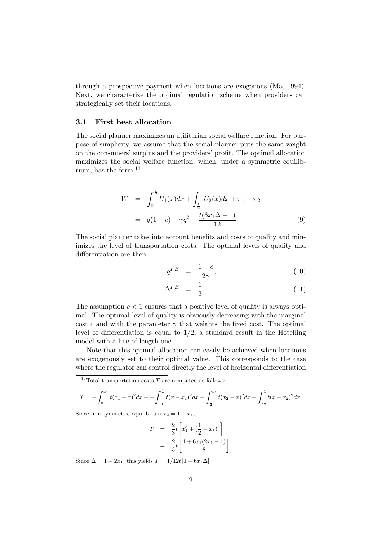through a prospective payment when locations are exogenous (Ma, 1994). Next, we characterize the optimal regulation scheme when providers can strategically set their locations.

#### 3.1 First best allocation

The social planner maximizes an utilitarian social welfare function. For purpose of simplicity, we assume that the social planner puts the same weight on the consumers' surplus and the providers' profit. The optimal allocation maximizes the social welfare function, which, under a symmetric equilibrium, has the form:<sup>14</sup>

$$
W = \int_0^{\frac{1}{2}} U_1(x) dx + \int_{\frac{1}{2}}^1 U_2(x) dx + \pi_1 + \pi_2
$$
  
=  $q(1 - c) - \gamma q^2 + \frac{t(6x_1 \Delta - 1)}{12}.$  (9)

The social planner takes into account benefits and costs of quality and minimizes the level of transportation costs. The optimal levels of quality and differentiation are then:

$$
q^{FB} = \frac{1-c}{2\gamma}, \qquad (10)
$$

$$
\Delta^{FB} = \frac{1}{2}.\tag{11}
$$

The assumption  $c < 1$  ensures that a positive level of quality is always optimal. The optimal level of quality is obviously decreasing with the marginal cost c and with the parameter  $\gamma$  that weights the fixed cost. The optimal level of differentiation is equal to  $1/2$ , a standard result in the Hotelling model with a line of length one.

Note that this optimal allocation can easily be achieved when locations are exogenously set to their optimal value. This corresponds to the case where the regulator can control directly the level of horizontal differentiation

 $^{14}\mathrm{T}$ otal transportation costs  $T$  are computed as follows:

$$
T = -\int_0^{x_1} t(x_1 - x)^2 dx + -\int_{x_1}^{\frac{1}{2}} t(x - x_1)^2 dx - \int_{\frac{1}{2}}^{x_2} t(x_2 - x)^2 dx + \int_{x_2}^1 t(x - x_2)^2 dx.
$$

Since in a symmetric equilibrium  $x_2 = 1 - x_1$ ,

$$
T = \frac{2}{3}t \left[ x_1^3 + (\frac{1}{2} - x_1)^3 \right]
$$
  
= 
$$
\frac{2}{3}t \left[ \frac{1 + 6x_1(2x_1 - 1)}{8} \right].
$$

Since  $\Delta = 1 - 2x_1$ , this yields  $T = 1/12t[1 - 6x_1\Delta]$ .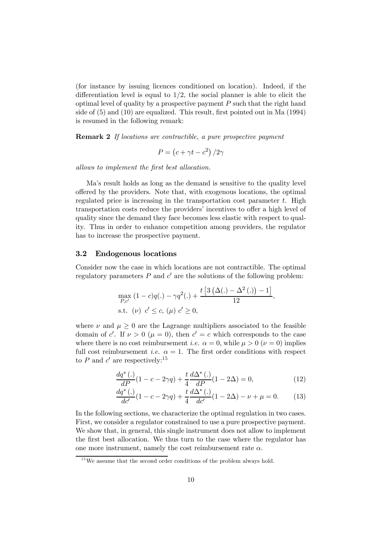(for instance by issuing licences conditioned on location). Indeed, if the differentiation level is equal to  $1/2$ , the social planner is able to elicit the optimal level of quality by a prospective payment  $P$  such that the right hand side of (5) and (10) are equalized. This result, first pointed out in Ma (1994) is resumed in the following remark:

Remark 2 If locations are contractible, a pure prospective payment

$$
P = \left(c + \gamma t - c^2\right)/2\gamma
$$

allows to implement the first best allocation.

Ma's result holds as long as the demand is sensitive to the quality level offered by the providers. Note that, with exogenous locations, the optimal regulated price is increasing in the transportation cost parameter  $t$ . High transportation costs reduce the providers' incentives to offer a high level of quality since the demand they face becomes less elastic with respect to quality. Thus in order to enhance competition among providers, the regulator has to increase the prospective payment.

#### 3.2 Endogenous locations

Consider now the case in which locations are not contractible. The optimal regulatory parameters  $P$  and  $c'$  are the solutions of the following problem:

$$
\max_{P,c'} (1-c)q(.) - \gamma q^{2}(.) + \frac{t \left[3 (\Delta(.) - \Delta^{2}(.) ) - 1\right]}{12},
$$
  
s.t.  $(\nu) c' \le c$ ,  $(\mu) c' \ge 0$ ,

£

where  $\nu$  and  $\mu \geq 0$  are the Lagrange multipliers associated to the feasible domain of c'. If  $\nu > 0$  ( $\mu = 0$ ), then  $c' = c$  which corresponds to the case where there is no cost reimbursement *i.e.*  $\alpha = 0$ , while  $\mu > 0$  ( $\nu = 0$ ) implies full cost reimbursement *i.e.*  $\alpha = 1$ . The first order conditions with respect to P and  $c'$  are respectively:<sup>15</sup>

$$
\frac{dq^*(.)}{dP}(1 - c - 2\gamma q) + \frac{t}{4}\frac{d\Delta^*(.)}{dP}(1 - 2\Delta) = 0,\tag{12}
$$

$$
\frac{dq^*(.)}{dc'}(1 - c - 2\gamma q) + \frac{t}{4}\frac{d\Delta^*(.)}{dc'}(1 - 2\Delta) - \nu + \mu = 0.
$$
 (13)

In the following sections, we characterize the optimal regulation in two cases. First, we consider a regulator constrained to use a pure prospective payment. We show that, in general, this single instrument does not allow to implement the first best allocation. We thus turn to the case where the regulator has one more instrument, namely the cost reimbursement rate  $\alpha$ .

 $15$  We assume that the second order conditions of the problem always hold.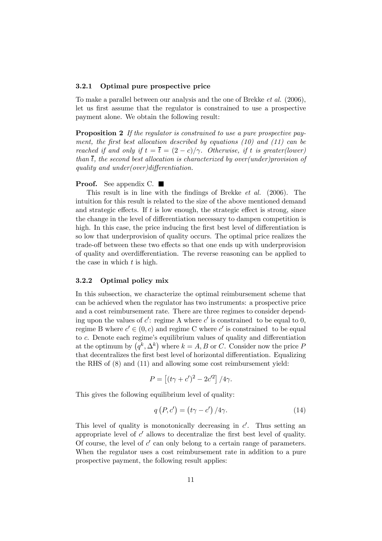#### 3.2.1 Optimal pure prospective price

To make a parallel between our analysis and the one of Brekke et al. (2006), let us first assume that the regulator is constrained to use a prospective payment alone. We obtain the following result:

Proposition 2 If the regulator is constrained to use a pure prospective payment, the first best allocation described by equations (10) and (11) can be reached if and only if  $t = \overline{t} = (2 - c)/\gamma$ . Otherwise, if t is greater(lower) than  $\overline{t}$ , the second best allocation is characterized by over(under)provision of quality and under(over)differentiation.

#### **Proof.** See appendix C.  $\blacksquare$

This result is in line with the findings of Brekke et al. (2006). The intuition for this result is related to the size of the above mentioned demand and strategic effects. If  $t$  is low enough, the strategic effect is strong, since the change in the level of differentiation necessary to dampen competition is high. In this case, the price inducing the first best level of differentiation is so low that underprovision of quality occurs. The optimal price realizes the trade-off between these two effects so that one ends up with underprovision of quality and overdifferentiation. The reverse reasoning can be applied to the case in which  $t$  is high.

#### 3.2.2 Optimal policy mix

In this subsection, we characterize the optimal reimbursement scheme that can be achieved when the regulator has two instruments: a prospective price and a cost reimbursement rate. There are three regimes to consider depending upon the values of  $c'$ : regime A where  $c'$  is constrained to be equal to 0, regime B where  $c' \in (0, c)$  and regime C where c' is constrained to be equal to c. Denote each regime's equilibrium values of quality and differentiation at the optimum by  $(q^k, \Delta^k)$  where  $k = A, B$  or C. Consider now the price P that decentralizes the first best level of horizontal differentiation. Equalizing the RHS of (8) and (11) and allowing some cost reimbursement yield:

$$
P = \left[ (t\gamma + c')^2 - 2c'^2 \right] / 4\gamma.
$$

This gives the following equilibrium level of quality:

$$
q(P, c') = (t\gamma - c') / 4\gamma.
$$
 (14)

This level of quality is monotonically decreasing in  $c'$ . Thus setting an appropriate level of  $c'$  allows to decentralize the first best level of quality. Of course, the level of  $c'$  can only belong to a certain range of parameters. When the regulator uses a cost reimbursement rate in addition to a pure prospective payment, the following result applies: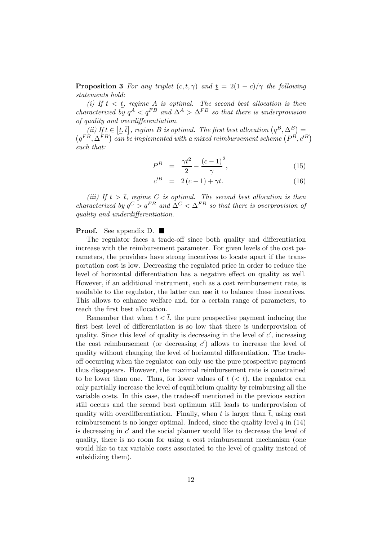**Proposition 3** For any triplet  $(c, t, \gamma)$  and  $\underline{t} = 2(1 - c)/\gamma$  the following statements hold:

(i) If  $t < t$ , regime A is optimal. The second best allocation is then characterized by  $q^A < q^{FB}$  and  $\Delta^A > \Delta^{FB}$  so that there is underprovision of quality and overdifferentiation.

(ii) If  $t \in [t, \bar{t}]$ , regime B is optimal. The first best allocation  $(q^B, \Delta^B)$ (ii) If  $t \in [\underline{t}, \overline{t}]$ , regime B is optimal. The first best allocation  $(q^B, \Delta^B) = (q^{FB}, \Delta^{FB})$  can be implemented with a mixed reimbursement scheme  $(P^B, c^B)$ such that:

$$
P^{B} = \frac{\gamma t^{2}}{2} - \frac{(c-1)^{2}}{\gamma}, \qquad (15)
$$

$$
c^{\prime B} = 2(c-1) + \gamma t. \tag{16}
$$

(iii) If  $t > \overline{t}$ , regime C is optimal. The second best allocation is then characterized by  $q^C > q^{FB}$  and  $\Delta^C < \Delta^{FB}$  so that there is overprovision of quality and underdifferentiation.

#### **Proof.** See appendix D.  $\blacksquare$

The regulator faces a trade-off since both quality and differentiation increase with the reimbursement parameter. For given levels of the cost parameters, the providers have strong incentives to locate apart if the transportation cost is low. Decreasing the regulated price in order to reduce the level of horizontal differentiation has a negative effect on quality as well. However, if an additional instrument, such as a cost reimbursement rate, is available to the regulator, the latter can use it to balance these incentives. This allows to enhance welfare and, for a certain range of parameters, to reach the first best allocation.

Remember that when  $t < \overline{t}$ , the pure prospective payment inducing the first best level of differentiation is so low that there is underprovision of quality. Since this level of quality is decreasing in the level of  $c'$ , increasing the cost reimbursement (or decreasing  $c'$ ) allows to increase the level of quality without changing the level of horizontal differentiation. The tradeoff occurring when the regulator can only use the pure prospective payment thus disappears. However, the maximal reimbursement rate is constrained to be lower than one. Thus, for lower values of  $t \leq t$ , the regulator can only partially increase the level of equilibrium quality by reimbursing all the variable costs. In this case, the trade-off mentioned in the previous section still occurs and the second best optimum still leads to underprovision of quality with overdifferentiation. Finally, when t is larger than  $\bar{t}$ , using cost reimbursement is no longer optimal. Indeed, since the quality level  $q$  in  $(14)$ is decreasing in  $c'$  and the social planner would like to decrease the level of quality, there is no room for using a cost reimbursement mechanism (one would like to tax variable costs associated to the level of quality instead of subsidizing them).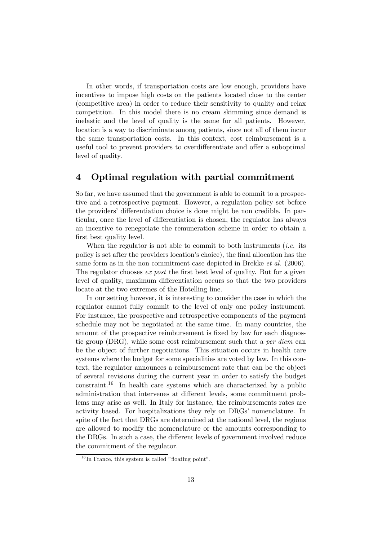In other words, if transportation costs are low enough, providers have incentives to impose high costs on the patients located close to the center (competitive area) in order to reduce their sensitivity to quality and relax competition. In this model there is no cream skimming since demand is inelastic and the level of quality is the same for all patients. However, location is a way to discriminate among patients, since not all of them incur the same transportation costs. In this context, cost reimbursement is a useful tool to prevent providers to overdifferentiate and offer a suboptimal level of quality.

# 4 Optimal regulation with partial commitment

So far, we have assumed that the government is able to commit to a prospective and a retrospective payment. However, a regulation policy set before the providers' differentiation choice is done might be non credible. In particular, once the level of differentiation is chosen, the regulator has always an incentive to renegotiate the remuneration scheme in order to obtain a first best quality level.

When the regulator is not able to commit to both instruments (*i.e.* its policy is set after the providers location's choice), the final allocation has the same form as in the non commitment case depicted in Brekke et al. (2006). The regulator chooses ex post the first best level of quality. But for a given level of quality, maximum differentiation occurs so that the two providers locate at the two extremes of the Hotelling line.

In our setting however, it is interesting to consider the case in which the regulator cannot fully commit to the level of only one policy instrument. For instance, the prospective and retrospective components of the payment schedule may not be negotiated at the same time. In many countries, the amount of the prospective reimbursement is fixed by law for each diagnostic group (DRG), while some cost reimbursement such that a per diem can be the object of further negotiations. This situation occurs in health care systems where the budget for some specialities are voted by law. In this context, the regulator announces a reimbursement rate that can be the object of several revisions during the current year in order to satisfy the budget constraint.<sup>16</sup> In health care systems which are characterized by a public administration that intervenes at different levels, some commitment problems may arise as well. In Italy for instance, the reimbursements rates are activity based. For hospitalizations they rely on DRGs' nomenclature. In spite of the fact that DRGs are determined at the national level, the regions are allowed to modify the nomenclature or the amounts corresponding to the DRGs. In such a case, the different levels of government involved reduce the commitment of the regulator.

 $16$  In France, this system is called "floating point".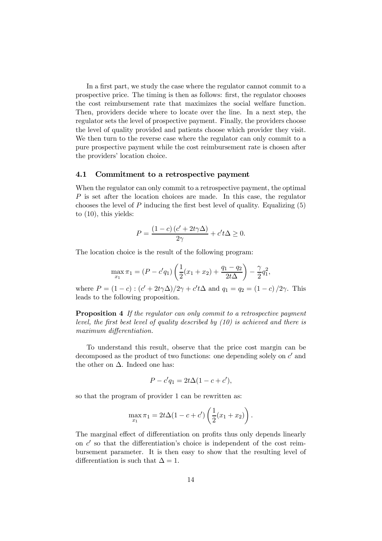In a first part, we study the case where the regulator cannot commit to a prospective price. The timing is then as follows: first, the regulator chooses the cost reimbursement rate that maximizes the social welfare function. Then, providers decide where to locate over the line. In a next step, the regulator sets the level of prospective payment. Finally, the providers choose the level of quality provided and patients choose which provider they visit. We then turn to the reverse case where the regulator can only commit to a pure prospective payment while the cost reimbursement rate is chosen after the providers' location choice.

#### 4.1 Commitment to a retrospective payment

When the regulator can only commit to a retrospective payment, the optimal P is set after the location choices are made. In this case, the regulator chooses the level of  $P$  inducing the first best level of quality. Equalizing  $(5)$ to (10), this yields:

$$
P = \frac{(1 - c)(c' + 2t\gamma\Delta)}{2\gamma} + c't\Delta \ge 0.
$$

The location choice is the result of the following program:

$$
\max_{x_1} \pi_1 = (P - c'q_1) \left( \frac{1}{2} (x_1 + x_2) + \frac{q_1 - q_2}{2t\Delta} \right) - \frac{\gamma}{2} q_1^2,
$$

where  $P = (1 - c) : (c' + 2t\gamma\Delta)/2\gamma + c't\Delta$  and  $q_1 = q_2 = (1 - c)/2\gamma$ . This leads to the following proposition.

Proposition 4 If the regulator can only commit to a retrospective payment level, the first best level of quality described by (10) is achieved and there is maximum differentiation.

To understand this result, observe that the price cost margin can be decomposed as the product of two functions: one depending solely on  $c'$  and the other on  $\Delta$ . Indeed one has:

$$
P - c'q_1 = 2t\Delta(1 - c + c'),
$$

so that the program of provider 1 can be rewritten as:

$$
\max_{x_1} \pi_1 = 2t\Delta(1 - c + c')\left(\frac{1}{2}(x_1 + x_2)\right).
$$

The marginal effect of differentiation on profits thus only depends linearly on  $c'$  so that the differentiation's choice is independent of the cost reimbursement parameter. It is then easy to show that the resulting level of differentiation is such that  $\Delta = 1$ .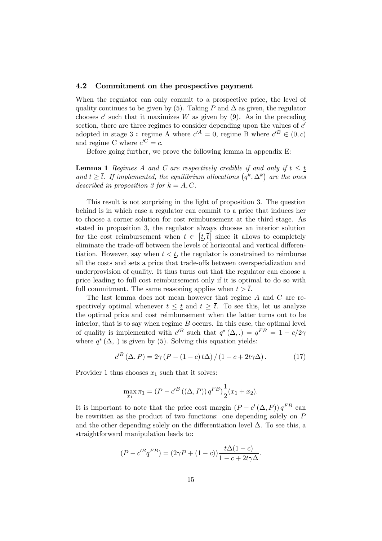#### 4.2 Commitment on the prospective payment

When the regulator can only commit to a prospective price, the level of quality continues to be given by (5). Taking P and  $\Delta$  as given, the regulator chooses c' such that it maximizes W as given by  $(9)$ . As in the preceding section, there are three regimes to consider depending upon the values of  $c'$ adopted in stage 3 : regime A where  $c^{A} = 0$ , regime B where  $c^{B} \in (0, c)$ and regime C where  $c^{C} = c$ .

Before going further, we prove the following lemma in appendix E:

**Lemma 1** Regimes A and C are respectively credible if and only if  $t \leq t$ and  $t \geq \overline{t}$ . If implemented, the equilibrium allocations  $(q^k, \Delta^k)$  are the ones described in proposition 3 for  $k = A, C$ .

This result is not surprising in the light of proposition 3. The question behind is in which case a regulator can commit to a price that induces her to choose a corner solution for cost reimbursement at the third stage. As stated in proposition 3, the regulator always chooses an interior solution for the cost reimbursement when  $t \in [\underline{t}, \overline{t}]$  since it allows to completely eliminate the trade-off between the levels of horizontal and vertical differentiation. However, say when  $t < t$ , the regulator is constrained to reimburse all the costs and sets a price that trade-offs between overspecialization and underprovision of quality. It thus turns out that the regulator can choose a price leading to full cost reimbursement only if it is optimal to do so with full commitment. The same reasoning applies when  $t > \overline{t}$ .

The last lemma does not mean however that regime A and C are respectively optimal whenever  $t \leq t$  and  $t \geq \overline{t}$ . To see this, let us analyze the optimal price and cost reimbursement when the latter turns out to be interior, that is to say when regime  $B$  occurs. In this case, the optimal level of quality is implemented with  $c^{B}$  such that  $q^{*} (\Delta, .) = q^{FB} = 1 - c/2\gamma$ where  $q^*(\Delta, .)$  is given by (5). Solving this equation yields:

$$
c^{\prime B} \left( \Delta, P \right) = 2\gamma \left( P - (1 - c) t \Delta \right) / \left( 1 - c + 2t \gamma \Delta \right). \tag{17}
$$

Provider 1 thus chooses  $x_1$  such that it solves:

$$
\max_{x_1} \pi_1 = (P - c'^B ((\Delta, P)) q^{FB}) \frac{1}{2} (x_1 + x_2).
$$

It is important to note that the price cost margin  $(P - c'(\Delta, P)) q^{FB}$  can be rewritten as the product of two functions: one depending solely on P and the other depending solely on the differentiation level  $\Delta$ . To see this, a straightforward manipulation leads to:

$$
(P - c'^B q^{FB}) = (2\gamma P + (1 - c)) \frac{t\Delta(1 - c)}{1 - c + 2t\gamma\Delta}.
$$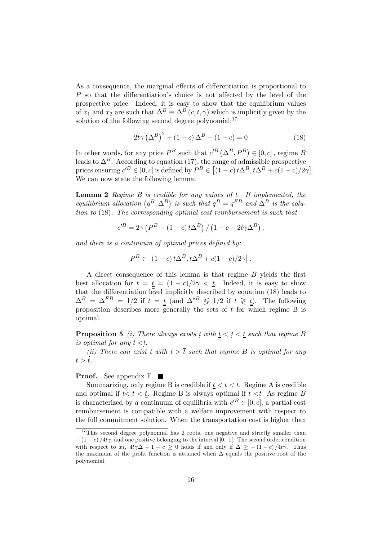As a consequence, the marginal effects of differentiation is proportional to P so that the differentiation's choice is not affected by the level of the prospective price. Indeed, it is easy to show that the equilibrium values of  $x_1$  and  $x_2$  are such that  $\Delta^B \equiv \Delta^B(c, t, \gamma)$  which is implicitly given by the solution of the following second degree polynomial: $^{17}$ 

$$
2t\gamma \left(\Delta^B\right)^2 + \left(1 - c\right)\Delta^B - \left(1 - c\right) = 0\tag{18}
$$

In other words, for any price  $P^B$  such that  $c'^B(\Delta^B, P^B) \in [0, c]$ , regime B leads to  $\Delta^B$ . According to equation (17), the range of admissible prospective prices ensuring  $c^{B} \in [0, c]$  is defined by  $P^{B} \in [(1 - c) t\Delta^{B}, t\Delta^{B} + c(1 - c)/2\gamma]$ . We can now state the following lemma:

**Lemma 2** Regime  $B$  is credible for any values of  $t$ . If implemented, the equilibrium allocation  $(q^B, \Delta^B)$  is such that  $q^B = q^{FB}$  and  $\Delta^B$  is the solution to (18). The corresponding optimal cost reimbursement is such that

$$
c^{\prime B} = 2\gamma \left( P^B - (1 - c) t \Delta^B \right) / \left( 1 - c + 2t \gamma \Delta^B \right),
$$

and there is a continuum of optimal prices defined by:

$$
P^{B} \in [(1-c)t\Delta^{B}, t\Delta^{B} + c(1-c)/2\gamma].
$$

A direct consequence of this lemma is that regime B yields the first best allocation for  $t = \underline{t} = (1 - c)/2\gamma < \underline{t}$ . Indeed, it is easy to show that the differentiation level implicitly described by equation (18) leads to  $\Delta^B = \Delta^{FB} = 1/2$  if  $t = \underline{t}$  (and  $\Delta^{*B} \leq 1/2$  if  $t \geq \underline{t}$ ). The following proposition describes more generally the sets of  $t$  for which regime B is optimal.

**Proposition 5** (i) There always exists t with  $\underline{t} < t < \underline{t}$  such that regime B is optimal for any  $t < t$ .

(ii) There can exist  $\dot{t}$  with  $\dot{t} > \bar{t}$  such that regime B is optimal for any  $t > \dot{t}$ .

#### **Proof.** See appendix F.  $\blacksquare$

Summarizing, only regime B is credible if  $t < t < \overline{t}$ . Regime A is credible and optimal if  $t < t < t$ . Regime B is always optimal if  $t < t$ . As regime B is characterized by a continuum of equilibria with  $c^{B} \in [0, c]$ , a partial cost reimbursement is compatible with a welfare improvement with respect to the full commitment solution. When the transportation cost is higher than

 $17$ This second degree polynomial has 2 roots, one negative and strictly smaller than  $-(1-c)/4t\gamma$ , and one positive belonging to the interval [0, 1]. The second order condition with respect to  $x_1$ ,  $4t\gamma\Delta + 1 - c > 0$  holds if and only if  $\Delta > -(1 - c)/4t\gamma$ . Thus the maximum of the profit function is attained when  $\Delta$  equals the positive root of the polynomial.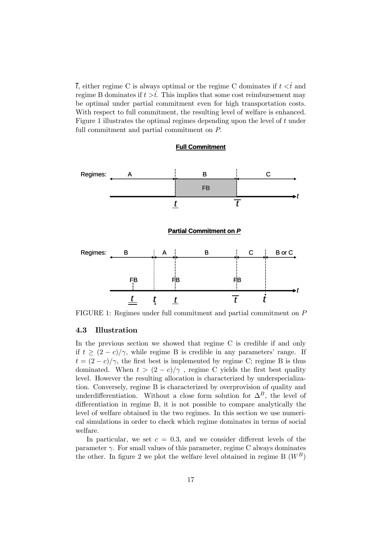$\overline{t}$ , either regime C is always optimal or the regime C dominates if  $t \lt t$  and regime B dominates if  $t > t$ . This implies that some cost reimbursement may be optimal under partial commitment even for high transportation costs. With respect to full commitment, the resulting level of welfare is enhanced. Figure 1 illustrates the optimal regimes depending upon the level of t under full commitment and partial commitment on P.



#### 4.3 Illustration

In the previous section we showed that regime C is credible if and only if  $t \ge (2 - c)/\gamma$ , while regime B is credible in any parameters' range. If  $t = (2 - c)/\gamma$ , the first best is implemented by regime C; regime B is thus dominated. When  $t > (2 - c)/\gamma$ , regime C yields the first best quality level. However the resulting allocation is characterized by underspecialization. Conversely, regime B is characterized by overprovision of quality and underdifferentiation. Without a close form solution for  $\Delta^B$ , the level of differentiation in regime B, it is not possible to compare analytically the level of welfare obtained in the two regimes. In this section we use numerical simulations in order to check which regime dominates in terms of social welfare.

In particular, we set  $c = 0.3$ , and we consider different levels of the parameter  $\gamma$ . For small values of this parameter, regime C always dominates the other. In figure 2 we plot the welfare level obtained in regime B  $(W^B)$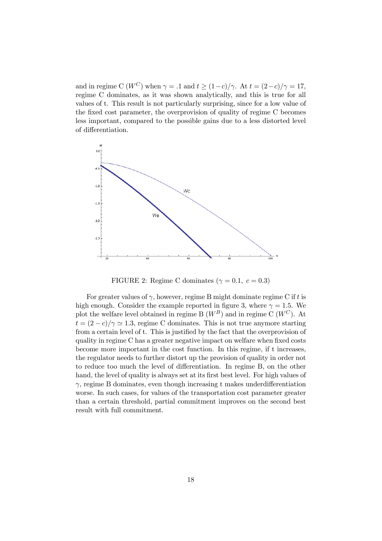and in regime C ( $W^C$ ) when  $\gamma = .1$  and  $t \ge (1-c)/\gamma$ . At  $t = (2-c)/\gamma = 17$ , regime C dominates, as it was shown analytically, and this is true for all values of t. This result is not particularly surprising, since for a low value of the fixed cost parameter, the overprovision of quality of regime C becomes less important, compared to the possible gains due to a less distorted level of differentiation.



FIGURE 2: Regime C dominates ( $\gamma = 0.1, c = 0.3$ )

For greater values of  $\gamma$ , however, regime B might dominate regime C if t is high enough. Consider the example reported in figure 3, where  $\gamma = 1.5$ . We plot the welfare level obtained in regime B  $(W^B)$  and in regime C  $(W^C)$ . At  $t = (2 - c)/\gamma \simeq 1.3$ , regime C dominates. This is not true anymore starting from a certain level of t. This is justified by the fact that the overprovision of quality in regime C has a greater negative impact on welfare when fixed costs become more important in the cost function. In this regime, if t increases, the regulator needs to further distort up the provision of quality in order not to reduce too much the level of differentiation. In regime B, on the other hand, the level of quality is always set at its first best level. For high values of  $\gamma$ , regime B dominates, even though increasing t makes underdifferentiation worse. In such cases, for values of the transportation cost parameter greater than a certain threshold, partial commitment improves on the second best result with full commitment.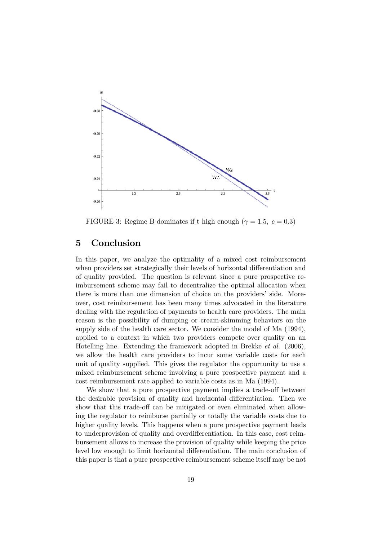

FIGURE 3: Regime B dominates if t high enough ( $\gamma = 1.5, c = 0.3$ )

# 5 Conclusion

In this paper, we analyze the optimality of a mixed cost reimbursement when providers set strategically their levels of horizontal differentiation and of quality provided. The question is relevant since a pure prospective reimbursement scheme may fail to decentralize the optimal allocation when there is more than one dimension of choice on the providers' side. Moreover, cost reimbursement has been many times advocated in the literature dealing with the regulation of payments to health care providers. The main reason is the possibility of dumping or cream-skimming behaviors on the supply side of the health care sector. We consider the model of Ma (1994), applied to a context in which two providers compete over quality on an Hotelling line. Extending the framework adopted in Brekke et al. (2006), we allow the health care providers to incur some variable costs for each unit of quality supplied. This gives the regulator the opportunity to use a mixed reimbursement scheme involving a pure prospective payment and a cost reimbursement rate applied to variable costs as in Ma (1994).

We show that a pure prospective payment implies a trade-off between the desirable provision of quality and horizontal differentiation. Then we show that this trade-off can be mitigated or even eliminated when allowing the regulator to reimburse partially or totally the variable costs due to higher quality levels. This happens when a pure prospective payment leads to underprovision of quality and overdifferentiation. In this case, cost reimbursement allows to increase the provision of quality while keeping the price level low enough to limit horizontal differentiation. The main conclusion of this paper is that a pure prospective reimbursement scheme itself may be not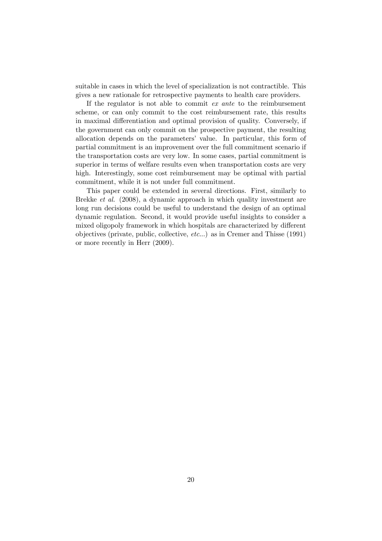suitable in cases in which the level of specialization is not contractible. This gives a new rationale for retrospective payments to health care providers.

If the regulator is not able to commit ex ante to the reimbursement scheme, or can only commit to the cost reimbursement rate, this results in maximal differentiation and optimal provision of quality. Conversely, if the government can only commit on the prospective payment, the resulting allocation depends on the parameters' value. In particular, this form of partial commitment is an improvement over the full commitment scenario if the transportation costs are very low. In some cases, partial commitment is superior in terms of welfare results even when transportation costs are very high. Interestingly, some cost reimbursement may be optimal with partial commitment, while it is not under full commitment.

This paper could be extended in several directions. First, similarly to Brekke et al. (2008), a dynamic approach in which quality investment are long run decisions could be useful to understand the design of an optimal dynamic regulation. Second, it would provide useful insights to consider a mixed oligopoly framework in which hospitals are characterized by different objectives (private, public, collective, etc...) as in Cremer and Thisse (1991) or more recently in Herr (2009).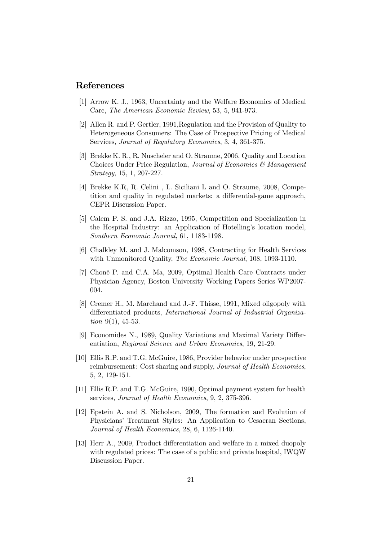#### References

- [1] Arrow K. J., 1963, Uncertainty and the Welfare Economics of Medical Care, The American Economic Review, 53, 5, 941-973.
- [2] Allen R. and P. Gertler, 1991,Regulation and the Provision of Quality to Heterogeneous Consumers: The Case of Prospective Pricing of Medical Services, Journal of Regulatory Economics, 3, 4, 361-375.
- [3] Brekke K. R., R. Nuscheler and O. Straume, 2006, Quality and Location Choices Under Price Regulation, Journal of Economics & Management Strategy, 15, 1, 207-227.
- [4] Brekke K.R, R. Celini , L. Siciliani L and O. Straume, 2008, Competition and quality in regulated markets: a differential-game approach, CEPR Discussion Paper.
- [5] Calem P. S. and J.A. Rizzo, 1995, Competition and Specialization in the Hospital Industry: an Application of Hotelling's location model, Southern Economic Journal, 61, 1183-1198.
- [6] Chalkley M. and J. Malcomson, 1998, Contracting for Health Services with Unmonitored Quality, *The Economic Journal*, 108, 1093-1110.
- [7] Choné P. and C.A. Ma, 2009, Optimal Health Care Contracts under Physician Agency, Boston University Working Papers Series WP2007- 004.
- [8] Cremer H., M. Marchand and J.-F. Thisse, 1991, Mixed oligopoly with differentiated products, International Journal of Industrial Organization  $9(1)$ , 45-53.
- [9] Economides N., 1989, Quality Variations and Maximal Variety Differentiation, Regional Science and Urban Economics, 19, 21-29.
- [10] Ellis R.P. and T.G. McGuire, 1986, Provider behavior under prospective reimbursement: Cost sharing and supply, Journal of Health Economics, 5, 2, 129-151.
- [11] Ellis R.P. and T.G. McGuire, 1990, Optimal payment system for health services, Journal of Health Economics, 9, 2, 375-396.
- [12] Epstein A. and S. Nicholson, 2009, The formation and Evolution of Physicians' Treatment Styles: An Application to Cesaeran Sections, Journal of Health Economics, 28, 6, 1126-1140.
- [13] Herr A., 2009, Product differentiation and welfare in a mixed duopoly with regulated prices: The case of a public and private hospital, IWQW Discussion Paper.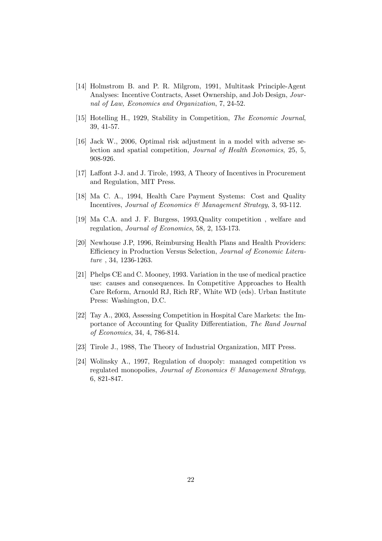- [14] Holmstrom B. and P. R. Milgrom, 1991, Multitask Principle-Agent Analyses: Incentive Contracts, Asset Ownership, and Job Design, Journal of Law, Economics and Organization, 7, 24-52.
- [15] Hotelling H., 1929, Stability in Competition, The Economic Journal, 39, 41-57.
- [16] Jack W., 2006, Optimal risk adjustment in a model with adverse selection and spatial competition, Journal of Health Economics, 25, 5, 908-926.
- [17] Laffont J-J. and J. Tirole, 1993, A Theory of Incentives in Procurement and Regulation, MIT Press.
- [18] Ma C. A., 1994, Health Care Payment Systems: Cost and Quality Incentives, Journal of Economics & Management Strategy, 3, 93-112.
- [19] Ma C.A. and J. F. Burgess, 1993,Quality competition , welfare and regulation, Journal of Economics, 58, 2, 153-173.
- [20] Newhouse J.P, 1996, Reimbursing Health Plans and Health Providers: Efficiency in Production Versus Selection, Journal of Economic Literature , 34, 1236-1263.
- [21] Phelps CE and C. Mooney, 1993. Variation in the use of medical practice use: causes and consequences. In Competitive Approaches to Health Care Reform, Arnould RJ, Rich RF, White WD (eds). Urban Institute Press: Washington, D.C.
- [22] Tay A., 2003, Assessing Competition in Hospital Care Markets: the Importance of Accounting for Quality Differentiation, The Rand Journal of Economics, 34, 4, 786-814.
- [23] Tirole J., 1988, The Theory of Industrial Organization, MIT Press.
- [24] Wolinsky A., 1997, Regulation of duopoly: managed competition vs regulated monopolies, Journal of Economics & Management Strategy, 6, 821-847.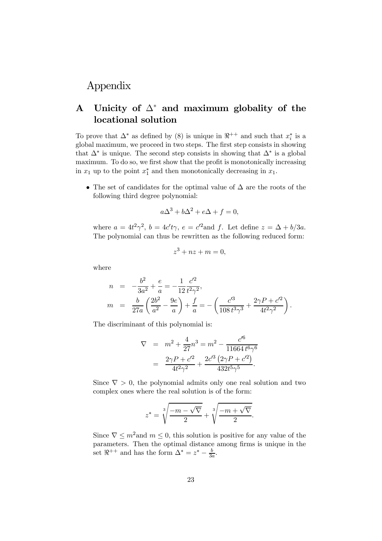# Appendix

# A Unicity of  $\Delta^*$  and maximum globality of the locational solution

To prove that  $\Delta^*$  as defined by (8) is unique in  $\mathbb{R}^{++}$  and such that  $x_i^*$  is a global maximum, we proceed in two steps. The first step consists in showing that  $\Delta^*$  is unique. The second step consists in showing that  $\Delta^*$  is a global maximum. To do so, we first show that the profit is monotonically increasing in  $x_1$  up to the point  $x_1^*$  and then monotonically decreasing in  $x_1$ .

• The set of candidates for the optimal value of ∆ are the roots of the following third degree polynomial:

$$
a\Delta^3 + b\Delta^2 + e\Delta + f = 0,
$$

where  $a = 4t^2\gamma^2$ ,  $b = 4c't\gamma$ ,  $e = c'^2$  and f. Let define  $z = \Delta + b/3a$ . The polynomial can thus be rewritten as the following reduced form:

$$
z^3 + nz + m = 0,
$$

where

$$
n = -\frac{b^2}{3a^2} + \frac{e}{a} = -\frac{1}{12} \frac{c'^2}{t^2 \gamma^2},
$$
  
\n
$$
m = \frac{b}{27a} \left( \frac{2b^2}{a^2} - \frac{9e}{a} \right) + \frac{f}{a} = -\left( \frac{c'^3}{108 t^3 \gamma^3} + \frac{2\gamma P + c'^2}{4t^2 \gamma^2} \right).
$$

The discriminant of this polynomial is:

$$
\nabla = m^2 + \frac{4}{27}n^3 = m^2 - \frac{c'^6}{11664 t^6 \gamma^6}
$$

$$
= \frac{2\gamma P + c'^2}{4t^2 \gamma^2} + \frac{2c'^3 (2\gamma P + c'^2)}{432 t^5 \gamma^5}.
$$

Since  $\nabla > 0$ , the polynomial admits only one real solution and two complex ones where the real solution is of the form:

$$
z^* = \sqrt[3]{\frac{-m-\sqrt{\nabla}}{2}} + \sqrt[3]{\frac{-m+\sqrt{\nabla}}{2}}.
$$

Since  $\nabla \leq m^2$  and  $m \leq 0$ , this solution is positive for any value of the parameters. Then the optimal distance among firms is unique in the set  $\Re^{++}$  and has the form  $\Delta^* = z^* - \frac{b}{3a}$ .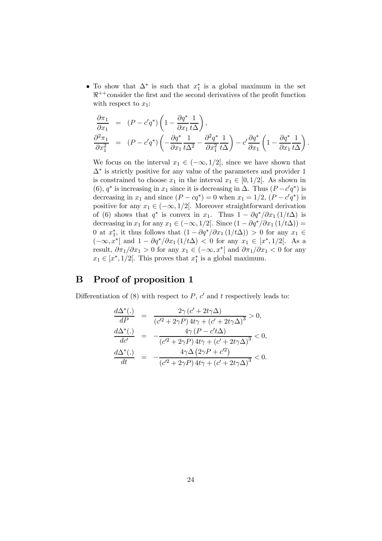• To show that  $\Delta^*$  is such that  $x_1^*$  is a global maximum in the set  $\mathbb{R}^{++}$ consider the first and the second derivatives of the profit function with respect to  $x_1$ :

$$
\begin{array}{rcl}\n\frac{\partial \pi_1}{\partial x_1} & = & (P - c'q^*) \left( 1 - \frac{\partial q^*}{\partial x_1} \frac{1}{t\Delta} \right), \\
\frac{\partial^2 \pi_1}{\partial x_1^2} & = & (P - c'q^*) \left( -\frac{\partial q^*}{\partial x_1} \frac{1}{t\Delta^2} - \frac{\partial^2 q^*}{\partial x_1^2} \frac{1}{t\Delta} \right) - c' \frac{\partial q^*}{\partial x_1} \left( 1 - \frac{\partial q^*}{\partial x_1} \frac{1}{t\Delta} \right).\n\end{array}
$$

We focus on the interval  $x_1 \in (-\infty, 1/2]$ , since we have shown that  $\Delta^*$  is strictly positive for any value of the parameters and provider 1 is constrained to choose  $x_1$  in the interval  $x_1 \in [0, 1/2]$ . As shown in (6),  $q^*$  is increasing in  $x_1$  since it is decreasing in  $\Delta$ . Thus  $(P - c'q^*)$  is decreasing in  $x_1$  and since  $(P - cq^*) = 0$  when  $x_1 = 1/2$ ,  $(P - c'q^*)$  is positive for any  $x_1 \in (-\infty, 1/2]$ . Moreover straightforward derivation of (6) shows that  $q^*$  is convex in  $x_1$ . Thus  $1 - \frac{\partial q^*}{\partial x_1} (1/t\Delta)$  is decreasing in  $x_1$  for any  $x_1 \in (-\infty, 1/2]$ . Since  $(1 - \partial q^* / \partial x_1 (1/t\Delta))$  = 0 at  $x_1^*$ , it thus follows that  $(1 - \partial q^* / \partial x_1 (1/t\Delta)) > 0$  for any  $x_1 \in$  $(-\infty, x^*[$  and  $1 - \partial q^*/\partial x_1(1/t\Delta) < 0$  for any  $x_1 \in [x^*, 1/2[$ . As a result,  $\partial \pi_1/\partial x_1 > 0$  for any  $x_1 \in (-\infty, x^*]$  and  $\partial \pi_1/\partial x_1 < 0$  for any  $x_1 \in [x^*, 1/2[$ . This proves that  $x_1^*$  is a global maximum.

# B Proof of proposition 1

Differentiation of (8) with respect to  $P$ ,  $c'$  and  $t$  respectively leads to:

$$
\frac{d\Delta^*(.)}{dP} = \frac{2\gamma (c' + 2t\gamma \Delta)}{(c'^2 + 2\gamma P) 4t\gamma + (c' + 2t\gamma \Delta)^3} > 0,
$$
  
\n
$$
\frac{d\Delta^*(.)}{dc'} = -\frac{4\gamma (P - c't\Delta)}{(c'^2 + 2\gamma P) 4t\gamma + (c' + 2t\gamma \Delta)^3} < 0,
$$
  
\n
$$
\frac{d\Delta^*(.)}{dt} = -\frac{4\gamma \Delta (2\gamma P + c'^2)}{(c'^2 + 2\gamma P) 4t\gamma + (c' + 2t\gamma \Delta)^3} < 0.
$$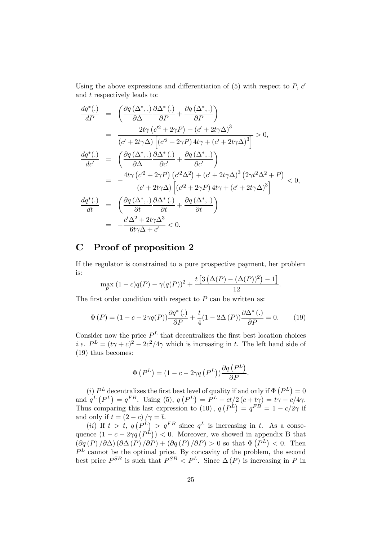Using the above expressions and differentiation of  $(5)$  with respect to P,  $c'$ and t respectively leads to:

$$
\frac{dq^{*}(.)}{dP} = \left( \frac{\partial q(\Delta^{*},.)}{\partial \Delta} \frac{\partial \Delta^{*}(.)}{\partial P} + \frac{\partial q(\Delta^{*},.)}{\partial P} \right)
$$
\n
$$
= \frac{2t\gamma (c'^{2} + 2\gamma P) + (c' + 2t\gamma \Delta)^{3}}{(c' + 2t\gamma \Delta) [(c'^{2} + 2\gamma P) 4t\gamma + (c' + 2t\gamma \Delta)^{3}]} > 0,
$$
\n
$$
\frac{dq^{*}(.)}{dc'} = \left( \frac{\partial q(\Delta^{*},.)}{\partial \Delta} \frac{\partial \Delta^{*}(.)}{\partial c'} + \frac{\partial q(\Delta^{*},.)}{\partial c'} \right)
$$
\n
$$
= -\frac{4t\gamma (c'^{2} + 2\gamma P) (c'^{2} \Delta^{2}) + (c' + 2t\gamma \Delta)^{3} (2\gamma t^{2} \Delta^{2} + P)}{(c' + 2t\gamma \Delta) [(c'^{2} + 2\gamma P) 4t\gamma + (c' + 2t\gamma \Delta)^{3}]} < 0,
$$
\n
$$
\frac{dq^{*}(.)}{dt} = \left( \frac{\partial q(\Delta^{*},.)}{\partial t} \frac{\partial \Delta^{*}(.)}{\partial t} + \frac{\partial q(\Delta^{*},.)}{\partial t} \right)
$$
\n
$$
= -\frac{c'\Delta^{2} + 2t\gamma \Delta^{3}}{6t\gamma \Delta + c'} < 0.
$$

# C Proof of proposition 2

If the regulator is constrained to a pure prospective payment, her problem is:

$$
\max_{P} (1 - c)q(P) - \gamma(q(P))^2 + \frac{t[3(\Delta(P) - (\Delta(P))^2) - 1]}{12}.
$$

The first order condition with respect to  $P$  can be written as:

$$
\Phi(P) = (1 - c - 2\gamma q(P)) \frac{\partial q^*(.)}{\partial P} + \frac{t}{4} (1 - 2\Delta(P)) \frac{\partial \Delta^*(.)}{\partial P} = 0.
$$
 (19)

Consider now the price  $P<sup>L</sup>$  that decentralizes the first best location choices *i.e.*  $P^L = (t\gamma + c)^2 - 2c^2/4\gamma$  which is increasing in t. The left hand side of (19) thus becomes:

$$
\Phi\left(P^L\right)=(1-c-2\gamma q\left(P^L\right))\frac{\partial q\left(P^L\right)}{\partial P}.
$$

(i)  $P<sup>L</sup>$  decentralizes the first best level of quality if and only if  $\Phi(P<sup>L</sup>) = 0$ and  $q^L(P^L) = q^{FB}$ . Using (5),  $q(P^L) = P^L - ct/2(c + t\gamma) = t\gamma - c/4\gamma$ . Thus comparing this last expression to (10),  $q(P^L) = q^{FB} = 1 - c/2\gamma$  if and only if  $t = (2 - c) / \gamma = \overline{t}$ .

(*ii*) If  $t > \overline{t}$ ,  $q(P^L) > q^{FB}$  since  $q^L$  is increasing in t. As a consequence  $(1 - c - 2\gamma q)(P^{\hat{L}}) < 0$ . Moreover, we showed in appendix B that  $\left(\frac{\partial q(P)}{\partial \Delta}(\frac{\partial \Delta(P)}{\partial P}) + \left(\frac{\partial q(P)}{\partial P}\right) > 0$  so that  $\Phi(P^L) < 0$ . Then  $P<sup>L</sup>$  cannot be the optimal price. By concavity of the problem, the second best price  $P^{SB}$  is such that  $P^{SB} < P^L$ . Since  $\Delta(P)$  is increasing in P in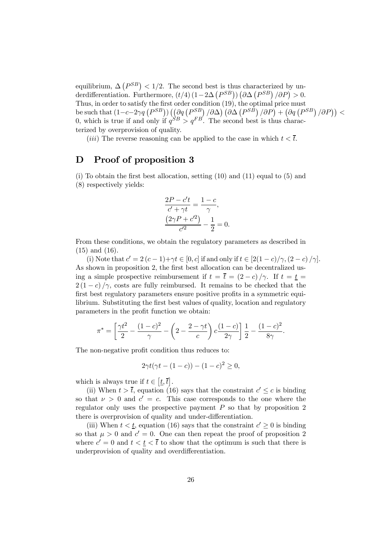equilibrium,  $\Delta (P^{SB}) < 1/2$ . The second best is thus characterized by underdifferentiation. Furthermore,  $(t/4) (1 - 2\Delta (P^{SB}))(\partial \Delta (P^{SB})/\partial P) > 0$ . Thus, in order to satisfy the first order condition (19), the optimal price must be such that  $(1-c-2\gamma q\left(P^{SB}\right))\left(\frac{\partial q}{\partial P}\left(P^{SB}\right)/\partial\Delta\right)\left(\partial\Delta\left(P^{SB}\right)/\partial P\right)+\left(\partial q\left(P^{SB}\right)/\partial P\right)\right)<$ 0, which is true if and only if  $q^{SB} > q^{FB}$ . The second best is thus characterized by overprovision of quality.

(*iii*) The reverse reasoning can be applied to the case in which  $t < \overline{t}$ .

## D Proof of proposition 3

 $(i)$  To obtain the first best allocation, setting  $(10)$  and  $(11)$  equal to  $(5)$  and (8) respectively yields:

$$
\frac{2P - c't}{c' + \gamma t} = \frac{1 - c}{\gamma},
$$

$$
\frac{(2\gamma P + c'^2)}{c'^2} - \frac{1}{2} = 0.
$$

From these conditions, we obtain the regulatory parameters as described in (15) and (16).

(i) Note that  $c' = 2(c - 1) + \gamma t \in [0, c]$  if and only if  $t \in [2(1 - c)/\gamma, (2 - c)/\gamma]$ . As shown in proposition 2, the first best allocation can be decentralized using a simple prospective reimbursement if  $t = \bar{t} = (2 - c)/\gamma$ . If  $t = \underline{t} =$  $2(1-c)/\gamma$ , costs are fully reimbursed. It remains to be checked that the first best regulatory parameters ensure positive profits in a symmetric equilibrium. Substituting the first best values of quality, location and regulatory parameters in the profit function we obtain:

$$
\pi^* = \left[\frac{\gamma t^2}{2} - \frac{(1-c)^2}{\gamma} - \left(2 - \frac{2-\gamma t}{c}\right)c\frac{(1-c)}{2\gamma}\right]\frac{1}{2} - \frac{(1-c)^2}{8\gamma}.
$$

The non-negative profit condition thus reduces to:

$$
2\gamma t(\gamma t - (1 - c)) - (1 - c)^2 \ge 0,
$$

which is always true if  $t \in [\underline{t}, \overline{t}].$ 

(ii) When  $t > \overline{t}$ , equation (16) says that the constraint  $c' \leq c$  is binding so that  $\nu > 0$  and  $c' = c$ . This case corresponds to the one where the regulator only uses the prospective payment  $P$  so that by proposition 2 there is overprovision of quality and under-differentiation.

(iii) When  $t < t$ , equation (16) says that the constraint  $c' \geq 0$  is binding so that  $\mu > 0$  and  $c' = 0$ . One can then repeat the proof of proposition 2 where  $c' = 0$  and  $t < t < \overline{t}$  to show that the optimum is such that there is underprovision of quality and overdifferentiation.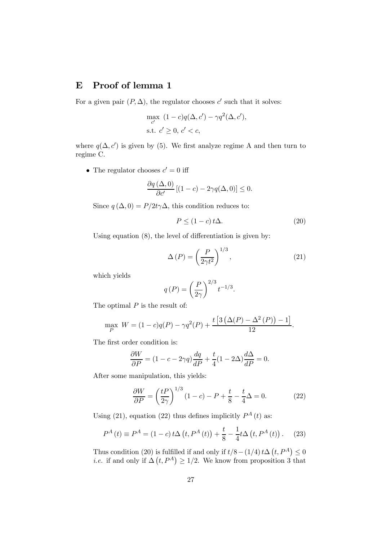# E Proof of lemma 1

For a given pair  $(P, \Delta)$ , the regulator chooses c' such that it solves:

$$
\max_{c'} (1 - c)q(\Delta, c') - \gamma q^2(\Delta, c'),
$$
  
s.t. 
$$
c' \ge 0, c' < c,
$$

where  $q(\Delta, c')$  is given by (5). We first analyze regime A and then turn to regime C.

• The regulator chooses  $c' = 0$  iff

$$
\frac{\partial q\left(\Delta,0\right)}{\partial c'}\left[(1-c)-2\gamma q(\Delta,0)\right] \leq 0.
$$

Since  $q(\Delta, 0) = P/2t\gamma\Delta$ , this condition reduces to:

$$
P \le (1 - c) t \Delta.
$$
 (20)

Using equation (8), the level of differentiation is given by:

$$
\Delta(P) = \left(\frac{P}{2\gamma t^2}\right)^{1/3},\tag{21}
$$

which yields

$$
q(P) = \left(\frac{P}{2\gamma}\right)^{2/3} t^{-1/3}.
$$

The optimal  $P$  is the result of:

$$
\max_{P} W = (1 - c)q(P) - \gamma q^{2}(P) + \frac{t [3 (\Delta(P) - \Delta^{2}(P)) - 1]}{12}.
$$

The first order condition is:

$$
\frac{\partial W}{\partial P} = (1 - c - 2\gamma q) \frac{dq}{dP} + \frac{t}{4} (1 - 2\Delta) \frac{d\Delta}{dP} = 0.
$$

After some manipulation, this yields:

$$
\frac{\partial W}{\partial P} = \left(\frac{tP}{2\gamma}\right)^{1/3} (1-c) - P + \frac{t}{8} - \frac{t}{4}\Delta = 0.
$$
 (22)

Using (21), equation (22) thus defines implicitly  $P^A(t)$  as:

$$
P^{A}(t) \equiv P^{A} = (1 - c) t \Delta \left( t, P^{A}(t) \right) + \frac{t}{8} - \frac{1}{4} t \Delta \left( t, P^{A}(t) \right). \tag{23}
$$

Thus condition (20) is fulfilled if and only if  $t/8 - (1/4) t\Delta(t, P^A) \leq 0$ *i.e.* if and only if  $\Delta(t, P^A) \geq 1/2$ . We know from proposition 3 that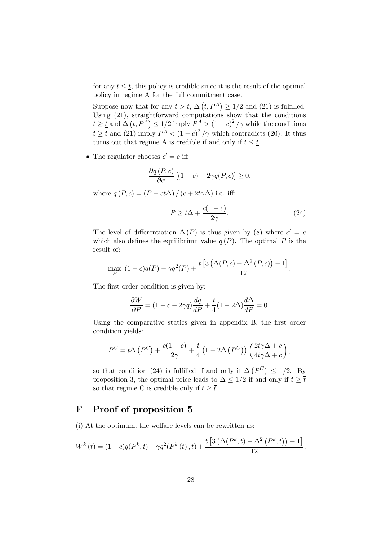for any  $t \leq \underline{t}$ , this policy is credible since it is the result of the optimal policy in regime A for the full commitment case.

Suppose now that for any  $t > \underline{t}$ ,  $\Delta(t, P^A) \geq 1/2$  and (21) is fulfilled. Using (21), straightforward computations show that the conditions  $t \geq t$  and  $\Delta(t, P^A) \leq 1/2$  imply  $P^A > (1-c)^2/\gamma$  while the conditions  $t \geq \underline{t}$  and (21) imply  $P^A < (1 - c)^2 / \gamma$  which contradicts (20). It thus turns out that regime A is credible if and only if  $t \leq \underline{t}$ .

• The regulator chooses  $c' = c$  iff

$$
\frac{\partial q\left(P,c\right)}{\partial c'}\left[(1-c)-2\gamma q\left(P,c\right)\right]\geq 0,
$$

where  $q(P, c) = (P - ct\Delta) / (c + 2t\gamma\Delta)$  i.e. iff:

$$
P \ge t\Delta + \frac{c(1-c)}{2\gamma}.\tag{24}
$$

The level of differentiation  $\Delta(P)$  is thus given by (8) where  $c' = c$ which also defines the equilibrium value  $q(P)$ . The optimal P is the result of:

$$
\max_{P} (1 - c)q(P) - \gamma q^{2}(P) + \frac{t [3 (\Delta(P, c) - \Delta^{2}(P, c)) - 1]}{12}.
$$

The first order condition is given by:

$$
\frac{\partial W}{\partial P} = (1 - c - 2\gamma q) \frac{dq}{dP} + \frac{t}{4} (1 - 2\Delta) \frac{d\Delta}{dP} = 0.
$$

Using the comparative statics given in appendix B, the first order condition yields:

$$
P^{C} = t\Delta \left(P^{C}\right) + \frac{c(1-c)}{2\gamma} + \frac{t}{4} \left(1 - 2\Delta \left(P^{C}\right)\right) \left(\frac{2t\gamma \Delta + c}{4t\gamma \Delta + c}\right),
$$

so that condition (24) is fulfilled if and only if  $\Delta(P^C) \leq 1/2$ . By proposition 3, the optimal price leads to  $\Delta \leq 1/2$  if and only if  $t \geq \overline{t}$ so that regime C is credible only if  $t \geq \overline{t}$ .

# F Proof of proposition 5

(i) At the optimum, the welfare levels can be rewritten as:

$$
W^{k}(t) = (1-c)q(P^{k}, t) - \gamma q^{2}(P^{k}(t), t) + \frac{t \left[3\left(\Delta(P^{k}, t) - \Delta^{2}(P^{k}, t)\right) - 1\right]}{12},
$$